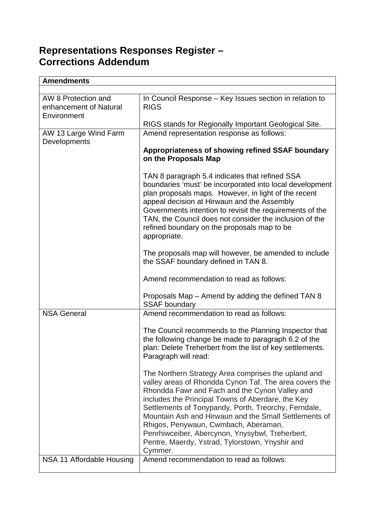## **Representations Responses Register – Corrections Addendum**

| <b>Amendments</b>                                            |                                                                                                                                                                                                                                                                                                                                                                                                                                                                                                |
|--------------------------------------------------------------|------------------------------------------------------------------------------------------------------------------------------------------------------------------------------------------------------------------------------------------------------------------------------------------------------------------------------------------------------------------------------------------------------------------------------------------------------------------------------------------------|
|                                                              |                                                                                                                                                                                                                                                                                                                                                                                                                                                                                                |
| AW 8 Protection and<br>enhancement of Natural<br>Environment | In Council Response - Key Issues section in relation to<br><b>RIGS</b>                                                                                                                                                                                                                                                                                                                                                                                                                         |
|                                                              | RIGS stands for Regionally Important Geological Site.                                                                                                                                                                                                                                                                                                                                                                                                                                          |
| AW 13 Large Wind Farm                                        | Amend representation response as follows:                                                                                                                                                                                                                                                                                                                                                                                                                                                      |
| Developments                                                 | Appropriateness of showing refined SSAF boundary<br>on the Proposals Map                                                                                                                                                                                                                                                                                                                                                                                                                       |
|                                                              | TAN 8 paragraph 5.4 indicates that refined SSA<br>boundaries 'must' be incorporated into local development<br>plan proposals maps. However, in light of the recent<br>appeal decision at Hirwaun and the Assembly<br>Governments intention to revisit the requirements of the<br>TAN, the Council does not consider the inclusion of the<br>refined boundary on the proposals map to be<br>appropriate.                                                                                        |
|                                                              | The proposals map will however, be amended to include<br>the SSAF boundary defined in TAN 8.                                                                                                                                                                                                                                                                                                                                                                                                   |
|                                                              | Amend recommendation to read as follows:                                                                                                                                                                                                                                                                                                                                                                                                                                                       |
|                                                              | Proposals Map – Amend by adding the defined TAN 8<br><b>SSAF boundary</b>                                                                                                                                                                                                                                                                                                                                                                                                                      |
| <b>NSA General</b>                                           | Amend recommendation to read as follows:                                                                                                                                                                                                                                                                                                                                                                                                                                                       |
|                                                              | The Council recommends to the Planning Inspector that<br>the following change be made to paragraph 6.2 of the<br>plan: Delete Treherbert from the list of key settlements.<br>Paragraph will read:                                                                                                                                                                                                                                                                                             |
|                                                              | The Northern Strategy Area comprises the upland and<br>valley areas of Rhondda Cynon Taf. The area covers the<br>Rhondda Fawr and Fach and the Cynon Valley and<br>includes the Principal Towns of Aberdare, the Key<br>Settlements of Tonypandy, Porth, Treorchy, Ferndale,<br>Mountain Ash and Hirwaun and the Small Settlements of<br>Rhigos, Penywaun, Cwmbach, Aberaman,<br>Penrhiwceiber, Abercynon, Ynysybwl, Treherbert,<br>Pentre, Maerdy, Ystrad, Tylorstown, Ynyshir and<br>Cymmer. |
| NSA 11 Affordable Housing                                    | Amend recommendation to read as follows:                                                                                                                                                                                                                                                                                                                                                                                                                                                       |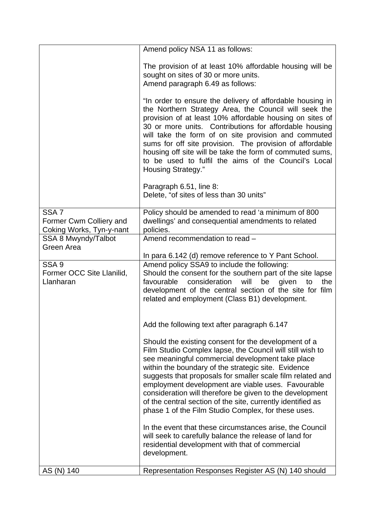|                                                                         | Amend policy NSA 11 as follows:                                                                                                                                                                                                                                                                                                                                                                                                                                                                                                    |
|-------------------------------------------------------------------------|------------------------------------------------------------------------------------------------------------------------------------------------------------------------------------------------------------------------------------------------------------------------------------------------------------------------------------------------------------------------------------------------------------------------------------------------------------------------------------------------------------------------------------|
|                                                                         | The provision of at least 10% affordable housing will be<br>sought on sites of 30 or more units.<br>Amend paragraph 6.49 as follows:                                                                                                                                                                                                                                                                                                                                                                                               |
|                                                                         | "In order to ensure the delivery of affordable housing in<br>the Northern Strategy Area, the Council will seek the<br>provision of at least 10% affordable housing on sites of<br>30 or more units. Contributions for affordable housing<br>will take the form of on site provision and commuted<br>sums for off site provision. The provision of affordable<br>housing off site will be take the form of commuted sums,<br>to be used to fulfil the aims of the Council's Local<br><b>Housing Strategy."</b>                      |
|                                                                         | Paragraph 6.51, line 8:<br>Delete, "of sites of less than 30 units"                                                                                                                                                                                                                                                                                                                                                                                                                                                                |
| SSA <sub>7</sub><br>Former Cwm Colliery and<br>Coking Works, Tyn-y-nant | Policy should be amended to read 'a minimum of 800<br>dwellings' and consequential amendments to related<br>policies.                                                                                                                                                                                                                                                                                                                                                                                                              |
| SSA 8 Mwyndy/Talbot<br>Green Area                                       | Amend recommendation to read -                                                                                                                                                                                                                                                                                                                                                                                                                                                                                                     |
|                                                                         | In para 6.142 (d) remove reference to Y Pant School.                                                                                                                                                                                                                                                                                                                                                                                                                                                                               |
| SSA <sub>9</sub><br>Former OCC Site Llanilid,<br>Llanharan              | Amend policy SSA9 to include the following:<br>Should the consent for the southern part of the site lapse<br>favourable<br>consideration<br>will<br>the<br>be<br>given<br>to<br>development of the central section of the site for film<br>related and employment (Class B1) development.                                                                                                                                                                                                                                          |
|                                                                         | Add the following text after paragraph 6.147                                                                                                                                                                                                                                                                                                                                                                                                                                                                                       |
|                                                                         | Should the existing consent for the development of a<br>Film Studio Complex lapse, the Council will still wish to<br>see meaningful commercial development take place<br>within the boundary of the strategic site. Evidence<br>suggests that proposals for smaller scale film related and<br>employment development are viable uses. Favourable<br>consideration will therefore be given to the development<br>of the central section of the site, currently identified as<br>phase 1 of the Film Studio Complex, for these uses. |
|                                                                         | In the event that these circumstances arise, the Council<br>will seek to carefully balance the release of land for<br>residential development with that of commercial<br>development.                                                                                                                                                                                                                                                                                                                                              |
| AS (N) 140                                                              | Representation Responses Register AS (N) 140 should                                                                                                                                                                                                                                                                                                                                                                                                                                                                                |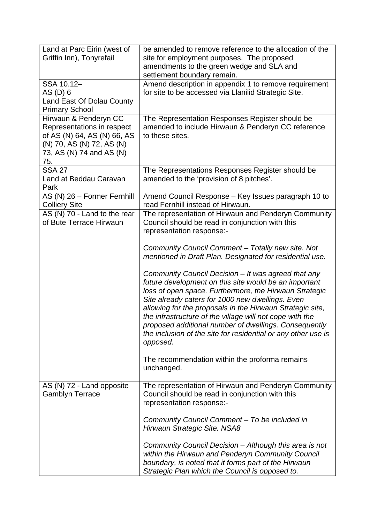| Land at Parc Eirin (west of<br>Griffin Inn), Tonyrefail                                                                                            | be amended to remove reference to the allocation of the<br>site for employment purposes. The proposed<br>amendments to the green wedge and SLA and<br>settlement boundary remain.                                                                                                                                                                                                                                                                                                                                                                                                                                                                                                                                                                                                                                  |
|----------------------------------------------------------------------------------------------------------------------------------------------------|--------------------------------------------------------------------------------------------------------------------------------------------------------------------------------------------------------------------------------------------------------------------------------------------------------------------------------------------------------------------------------------------------------------------------------------------------------------------------------------------------------------------------------------------------------------------------------------------------------------------------------------------------------------------------------------------------------------------------------------------------------------------------------------------------------------------|
| SSA 10.12-<br>AS (D) 6<br>Land East Of Dolau County<br><b>Primary School</b>                                                                       | Amend description in appendix 1 to remove requirement<br>for site to be accessed via Llanilid Strategic Site.                                                                                                                                                                                                                                                                                                                                                                                                                                                                                                                                                                                                                                                                                                      |
| Hirwaun & Penderyn CC<br>Representations in respect<br>of AS (N) 64, AS (N) 66, AS<br>(N) 70, AS (N) 72, AS (N)<br>73, AS (N) 74 and AS (N)<br>75. | The Representation Responses Register should be<br>amended to include Hirwaun & Penderyn CC reference<br>to these sites.                                                                                                                                                                                                                                                                                                                                                                                                                                                                                                                                                                                                                                                                                           |
| <b>SSA 27</b><br>Land at Beddau Caravan<br>Park                                                                                                    | The Representations Responses Register should be<br>amended to the 'provision of 8 pitches'.                                                                                                                                                                                                                                                                                                                                                                                                                                                                                                                                                                                                                                                                                                                       |
| AS (N) 26 - Former Fernhill<br><b>Colliery Site</b>                                                                                                | Amend Council Response - Key Issues paragraph 10 to<br>read Fernhill instead of Hirwaun.                                                                                                                                                                                                                                                                                                                                                                                                                                                                                                                                                                                                                                                                                                                           |
| AS (N) 70 - Land to the rear<br>of Bute Terrace Hirwaun                                                                                            | The representation of Hirwaun and Penderyn Community<br>Council should be read in conjunction with this<br>representation response:-<br>Community Council Comment - Totally new site. Not<br>mentioned in Draft Plan. Designated for residential use.<br>Community Council Decision - It was agreed that any<br>future development on this site would be an important<br>loss of open space. Furthermore, the Hirwaun Strategic<br>Site already caters for 1000 new dwellings. Even<br>allowing for the proposals in the Hirwaun Strategic site,<br>the infrastructure of the village will not cope with the<br>proposed additional number of dwellings. Consequently<br>the inclusion of the site for residential or any other use is<br>opposed.<br>The recommendation within the proforma remains<br>unchanged. |
| AS (N) 72 - Land opposite<br><b>Gamblyn Terrace</b>                                                                                                | The representation of Hirwaun and Penderyn Community<br>Council should be read in conjunction with this<br>representation response:-<br>Community Council Comment – To be included in<br>Hirwaun Strategic Site. NSA8<br>Community Council Decision - Although this area is not<br>within the Hirwaun and Penderyn Community Council<br>boundary, is noted that it forms part of the Hirwaun<br>Strategic Plan which the Council is opposed to.                                                                                                                                                                                                                                                                                                                                                                    |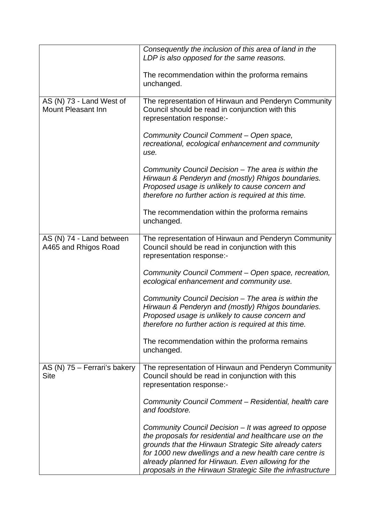|                                                       | Consequently the inclusion of this area of land in the                                                                                                                                                                                                                                                                                                  |
|-------------------------------------------------------|---------------------------------------------------------------------------------------------------------------------------------------------------------------------------------------------------------------------------------------------------------------------------------------------------------------------------------------------------------|
|                                                       | LDP is also opposed for the same reasons.                                                                                                                                                                                                                                                                                                               |
|                                                       | The recommendation within the proforma remains<br>unchanged.                                                                                                                                                                                                                                                                                            |
| AS (N) 73 - Land West of<br><b>Mount Pleasant Inn</b> | The representation of Hirwaun and Penderyn Community<br>Council should be read in conjunction with this<br>representation response:-                                                                                                                                                                                                                    |
|                                                       | Community Council Comment - Open space,<br>recreational, ecological enhancement and community<br>use.                                                                                                                                                                                                                                                   |
|                                                       | Community Council Decision - The area is within the<br>Hirwaun & Penderyn and (mostly) Rhigos boundaries.<br>Proposed usage is unlikely to cause concern and<br>therefore no further action is required at this time.                                                                                                                                   |
|                                                       | The recommendation within the proforma remains<br>unchanged.                                                                                                                                                                                                                                                                                            |
| AS (N) 74 - Land between<br>A465 and Rhigos Road      | The representation of Hirwaun and Penderyn Community<br>Council should be read in conjunction with this<br>representation response:-                                                                                                                                                                                                                    |
|                                                       | Community Council Comment - Open space, recreation,<br>ecological enhancement and community use.                                                                                                                                                                                                                                                        |
|                                                       | Community Council Decision - The area is within the<br>Hirwaun & Penderyn and (mostly) Rhigos boundaries.<br>Proposed usage is unlikely to cause concern and<br>therefore no further action is required at this time.                                                                                                                                   |
|                                                       | The recommendation within the proforma remains<br>unchanged.                                                                                                                                                                                                                                                                                            |
| AS (N) 75 - Ferrari's bakery<br><b>Site</b>           | The representation of Hirwaun and Penderyn Community<br>Council should be read in conjunction with this<br>representation response:-                                                                                                                                                                                                                    |
|                                                       | Community Council Comment - Residential, health care<br>and foodstore.                                                                                                                                                                                                                                                                                  |
|                                                       | Community Council Decision - It was agreed to oppose<br>the proposals for residential and healthcare use on the<br>grounds that the Hirwaun Strategic Site already caters<br>for 1000 new dwellings and a new health care centre is<br>already planned for Hirwaun. Even allowing for the<br>proposals in the Hirwaun Strategic Site the infrastructure |